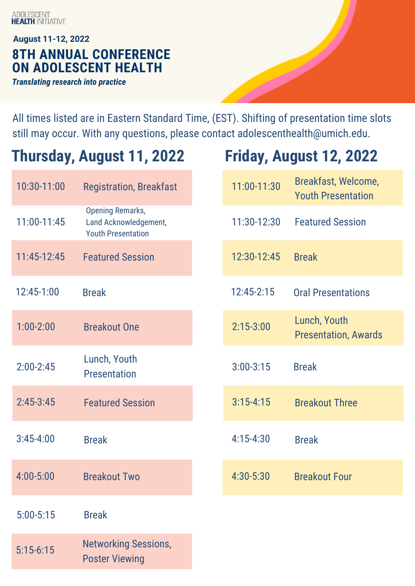ADOLESCENT<br>**HEALTH** INITIATIVE

### **8TH ANNUAL CONFERENCE ON ADOLESCENT HEALTH August 11-12, 2022** *Translating research into practice*

All times listed are in Eastern Standard Time, (EST). Shifting of presentation time slots still may occur. With any questions, please contact adolescenthealth@umich.edu.

# **Thursday, August 11, 2022 Friday, August 12, 2022**

Poster Viewing

| 10:30-11:00   | <b>Registration, Breakfast</b>                                                | 11:00-11:30   | Breakfast, Welcome,<br><b>Youth Presentation</b> |
|---------------|-------------------------------------------------------------------------------|---------------|--------------------------------------------------|
| 11:00-11:45   | <b>Opening Remarks,</b><br>Land Acknowledgement,<br><b>Youth Presentation</b> | 11:30-12:30   | <b>Featured Session</b>                          |
| 11:45-12:45   | <b>Featured Session</b>                                                       | 12:30-12:45   | <b>Break</b>                                     |
| 12:45-1:00    | <b>Break</b>                                                                  | 12:45-2:15    | <b>Oral Presentations</b>                        |
| $1:00 - 2:00$ | <b>Breakout One</b>                                                           | $2:15 - 3:00$ | Lunch, Youth<br><b>Presentation, Awards</b>      |
| $2:00-2:45$   | Lunch, Youth<br><b>Presentation</b>                                           | $3:00 - 3:15$ | <b>Break</b>                                     |
| $2:45-3:45$   | <b>Featured Session</b>                                                       | $3:15 - 4:15$ | <b>Breakout Three</b>                            |
| $3:45 - 4:00$ | <b>Break</b>                                                                  | $4:15 - 4:30$ | <b>Break</b>                                     |
| 4:00-5:00     | <b>Breakout Two</b>                                                           | 4:30-5:30     | <b>Breakout Four</b>                             |
| $5:00 - 5:15$ | <b>Break</b>                                                                  |               |                                                  |
| $5:15-6:15$   | <b>Networking Sessions,</b>                                                   |               |                                                  |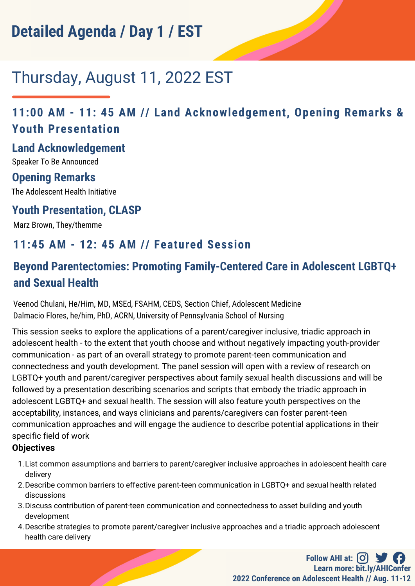# Thursday, August 11, 2022 EST

# **11:00 AM - 11: 45 AM // Land Acknowledgement, Opening Remarks & Youth Presentation**

#### **Land Acknowledgement**

Speaker To Be Announced

### **Opening Remarks**

The Adolescent Health Initiative

### **Youth Presentation, CLASP**

Marz Brown, They/themme

## **11:45 AM - 12: 45 AM // Featured Session**

# **Beyond Parentectomies: Promoting Family-Centered Care in Adolescent LGBTQ+ and Sexual Health**

Veenod Chulani, He/Him, MD, MSEd, FSAHM, CEDS, Section Chief, Adolescent Medicine Dalmacio Flores, he/him, PhD, ACRN, University of Pennsylvania School of Nursing

This session seeks to explore the applications of a parent/caregiver inclusive, triadic approach in adolescent health - to the extent that youth choose and without negatively impacting youth-provider communication - as part of an overall strategy to promote parent-teen communication and connectedness and youth development. The panel session will open with a review of research on LGBTQ+ youth and parent/caregiver perspectives about family sexual health discussions and will be followed by a presentation describing scenarios and scripts that embody the triadic approach in adolescent LGBTQ+ and sexual health. The session will also feature youth perspectives on the acceptability, instances, and ways clinicians and parents/caregivers can foster parent-teen communication approaches and will engage the audience to describe potential applications in their specific field of work

#### **Objectives**

- List common assumptions and barriers to parent/caregiver inclusive approaches in adolescent health care 1. delivery
- 2. Describe common barriers to effective parent-teen communication in LGBTQ+ and sexual health related discussions
- 3. Discuss contribution of parent-teen communication and connectedness to asset building and youth development
- Describe strategies to promote parent/caregiver inclusive approaches and a triadic approach adolescent 4. health care delivery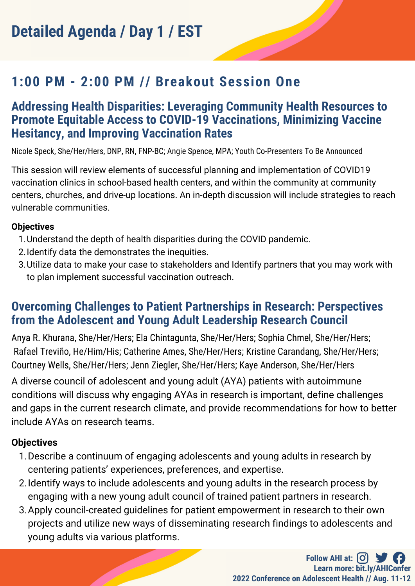# **1:00 PM - 2:00 PM // Breakout Session One**

### **Addressing Health Disparities: Leveraging Community Health Resources to Promote Equitable Access to COVID-19 Vaccinations, Minimizing Vaccine Hesitancy, and Improving Vaccination Rates**

Nicole Speck, She/Her/Hers, DNP, RN, FNP-BC; Angie Spence, MPA; Youth Co-Presenters To Be Announced

This session will review elements of successful planning and implementation of COVID19 vaccination clinics in school-based health centers, and within the community at community centers, churches, and drive-up locations. An in-depth discussion will include strategies to reach vulnerable communities.

#### **Objectives**

- 1. Understand the depth of health disparities during the COVID pandemic.
- 2. Identify data the demonstrates the inequities.
- 3. Utilize data to make your case to stakeholders and Identify partners that you may work with to plan implement successful vaccination outreach.

### **Overcoming Challenges to Patient Partnerships in Research: Perspectives from the Adolescent and Young Adult Leadership Research Council**

Anya R. Khurana, She/Her/Hers; Ela Chintagunta, She/Her/Hers; Sophia Chmel, She/Her/Hers; Rafael Treviño, He/Him/His; Catherine Ames, She/Her/Hers; Kristine Carandang, She/Her/Hers; Courtney Wells, She/Her/Hers; Jenn Ziegler, She/Her/Hers; Kaye Anderson, She/Her/Hers

A diverse council of adolescent and young adult (AYA) patients with autoimmune conditions will discuss why engaging AYAs in research is important, define challenges and gaps in the current research climate, and provide recommendations for how to better include AYAs on research teams.

#### **Objectives**

- 1. Describe a continuum of engaging adolescents and young adults in research by centering patients' experiences, preferences, and expertise.
- 2. Identify ways to include adolescents and young adults in the research process by engaging with a new young adult council of trained patient partners in research.
- 3. Apply council-created guidelines for patient empowerment in research to their own projects and utilize new ways of disseminating research findings to adolescents and young adults via various platforms.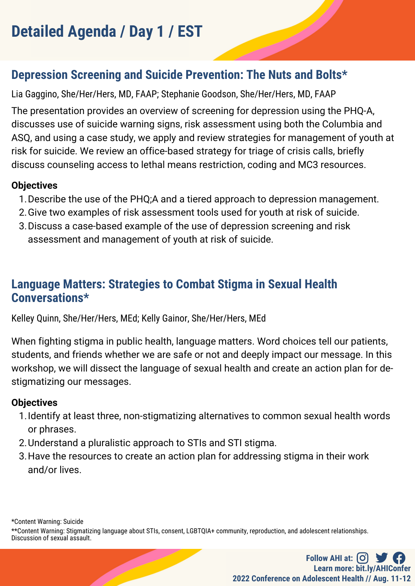# **Depression Screening and Suicide Prevention: The Nuts and Bolts\***

Lia Gaggino, She/Her/Hers, MD, FAAP; Stephanie Goodson, She/Her/Hers, MD, FAAP

The presentation provides an overview of screening for depression using the PHQ-A, discusses use of suicide warning signs, risk assessment using both the Columbia and ASQ, and using a case study, we apply and review strategies for management of youth at risk for suicide. We review an office-based strategy for triage of crisis calls, briefly discuss counseling access to lethal means restriction, coding and MC3 resources.

#### **Objectives**

- 1. Describe the use of the PHQ;A and a tiered approach to depression management.
- 2. Give two examples of risk assessment tools used for youth at risk of suicide.
- 3. Discuss a case-based example of the use of depression screening and risk assessment and management of youth at risk of suicide.

## **Language Matters: Strategies to Combat Stigma in Sexual Health Conversations\***

Kelley Quinn, She/Her/Hers, MEd; Kelly Gainor, She/Her/Hers, MEd

When fighting stigma in public health, language matters. Word choices tell our patients, students, and friends whether we are safe or not and deeply impact our message. In this workshop, we will dissect the language of sexual health and create an action plan for destigmatizing our messages.

#### **Objectives**

- 1. Identify at least three, non-stigmatizing alternatives to common sexual health words or phrases.
- 2. Understand a pluralistic approach to STIs and STI stigma.
- 3. Have the resources to create an action plan for addressing stigma in their work and/or lives.

\*Content Warning: Suicide

\*\*Content Warning: Stigmatizing language about STIs, consent, LGBTQIA+ community, reproduction, and adolescent relationships. Discussion of sexual assault.

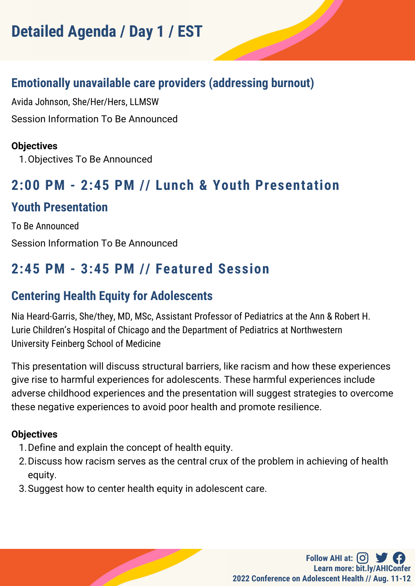## **Emotionally unavailable care providers (addressing burnout)**

Avida Johnson, She/Her/Hers, LLMSW Session Information To Be Announced

#### **Objectives**

1. Objectives To Be Announced

# **2:00 PM - 2:45 PM // Lunch & Youth Presentation**

## **Youth Presentation**

To Be Announced Session Information To Be Announced

# **2:45 PM - 3:45 PM // Featured Session**

# **Centering Health Equity for Adolescents**

Nia Heard-Garris, She/they, MD, MSc, Assistant Professor of Pediatrics at the Ann & Robert H. Lurie Children's Hospital of Chicago and the Department of Pediatrics at Northwestern University Feinberg School of Medicine

This presentation will discuss structural barriers, like racism and how these experiences give rise to harmful experiences for adolescents. These harmful experiences include adverse childhood experiences and the presentation will suggest strategies to overcome these negative experiences to avoid poor health and promote resilience.

#### **Objectives**

- 1. Define and explain the concept of health equity.
- 2. Discuss how racism serves as the central crux of the problem in achieving of health equity.
- 3. Suggest how to center health equity in adolescent care.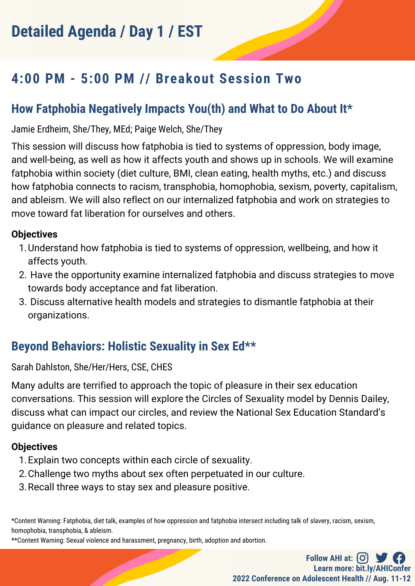# **4:00 PM - 5:00 PM // Breakout Session Two**

# **How Fatphobia Negatively Impacts You(th) and What to Do About It\***

Jamie Erdheim, She/They, MEd; Paige Welch, She/They

This session will discuss how fatphobia is tied to systems of oppression, body image, and well-being, as well as how it affects youth and shows up in schools. We will examine fatphobia within society (diet culture, BMI, clean eating, health myths, etc.) and discuss how fatphobia connects to racism, transphobia, homophobia, sexism, poverty, capitalism, and ableism. We will also reflect on our internalized fatphobia and work on strategies to move toward fat liberation for ourselves and others.

#### **Objectives**

- Understand how fatphobia is tied to systems of oppression, wellbeing, and how it 1. affects youth.
- 2. Have the opportunity examine internalized fatphobia and discuss strategies to move towards body acceptance and fat liberation.
- Discuss alternative health models and strategies to dismantle fatphobia at their 3. organizations.

# **Beyond Behaviors: Holistic Sexuality in Sex Ed\*\***

Sarah Dahlston, She/Her/Hers, CSE, CHES

Many adults are terrified to approach the topic of pleasure in their sex education conversations. This session will explore the Circles of Sexuality model by Dennis Dailey, discuss what can impact our circles, and review the National Sex Education Standard's guidance on pleasure and related topics.

#### **Objectives**

- 1. Explain two concepts within each circle of sexuality.
- 2. Challenge two myths about sex often perpetuated in our culture.
- 3. Recall three ways to stay sex and pleasure positive.

\*Content Warning: Fatphobia, diet talk, examples of how oppression and fatphobia intersect including talk of slavery, racism, sexism, homophobia, transphobia, & ableism.

\*\*Content Warning: Sexual violence and harassment, pregnancy, birth, adoption and abortion.

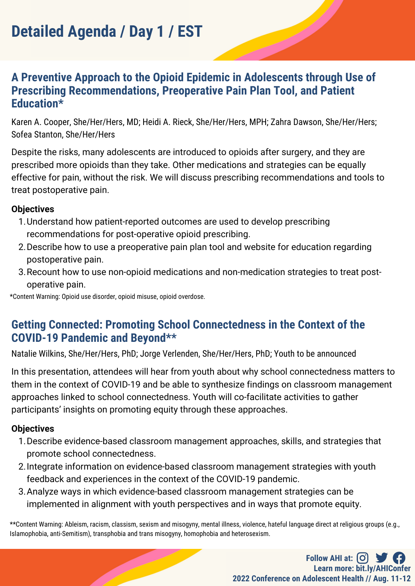### **A Preventive Approach to the Opioid Epidemic in Adolescents through Use of Prescribing Recommendations, Preoperative Pain Plan Tool, and Patient Education\***

Karen A. Cooper, She/Her/Hers, MD; Heidi A. Rieck, She/Her/Hers, MPH; Zahra Dawson, She/Her/Hers; Sofea Stanton, She/Her/Hers

Despite the risks, many adolescents are introduced to opioids after surgery, and they are prescribed more opioids than they take. Other medications and strategies can be equally effective for pain, without the risk. We will discuss prescribing recommendations and tools to treat postoperative pain.

#### **Objectives**

- Understand how patient-reported outcomes are used to develop prescribing 1. recommendations for post-operative opioid prescribing.
- 2. Describe how to use a preoperative pain plan tool and website for education regarding postoperative pain.
- 3. Recount how to use non-opioid medications and non-medication strategies to treat postoperative pain.

\*Content Warning: Opioid use disorder, opioid misuse, opioid overdose.

### **Getting Connected: Promoting School Connectedness in the Context of the COVID-19 Pandemic and Beyond\*\***

Natalie Wilkins, She/Her/Hers, PhD; Jorge Verlenden, She/Her/Hers, PhD; Youth to be announced

In this presentation, attendees will hear from youth about why school connectedness matters to them in the context of COVID-19 and be able to synthesize findings on classroom management approaches linked to school connectedness. Youth will co-facilitate activities to gather participants' insights on promoting equity through these approaches.

#### **Objectives**

- Describe evidence-based classroom management approaches, skills, and strategies that 1. promote school connectedness.
- 2. Integrate information on evidence-based classroom management strategies with youth feedback and experiences in the context of the COVID-19 pandemic.
- Analyze ways in which evidence-based classroom management strategies can be 3. implemented in alignment with youth perspectives and in ways that promote equity.

\*\*Content Warning: Ableism, racism, classism, sexism and misogyny, mental illness, violence, hateful language direct at religious groups (e.g., Islamophobia, anti-Semitism), transphobia and trans misogyny, homophobia and heterosexism.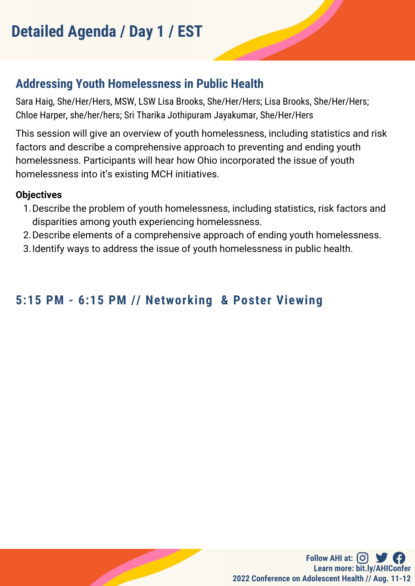# **Addressing Youth Homelessness in Public Health**

Sara Haig, She/Her/Hers, MSW, LSW Lisa Brooks, She/Her/Hers; Lisa Brooks, She/Her/Hers; Chloe Harper, she/her/hers; Sri Tharika Jothipuram Jayakumar, She/Her/Hers

This session will give an overview of youth homelessness, including statistics and risk factors and describe a comprehensive approach to preventing and ending youth homelessness. Participants will hear how Ohio incorporated the issue of youth homelessness into it's existing MCH initiatives.

#### **Objectives**

- 1. Describe the problem of youth homelessness, including statistics, risk factors and disparities among youth experiencing homelessness.
- 2. Describe elements of a comprehensive approach of ending youth homelessness.
- Identify ways to address the issue of youth homelessness in public health. 3.

# **5:15 PM - 6:15 PM // Networking & Poster Viewing**

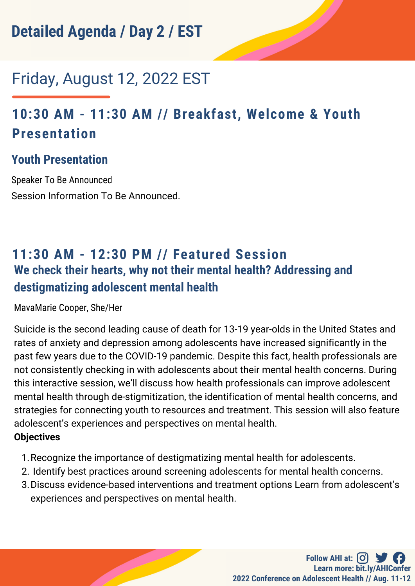# Friday, August 12, 2022 EST

# **10:30 AM - 11:30 AM // Breakfast, Welcome & Youth Presentation**

## **Youth Presentation**

Speaker To Be Announced Session Information To Be Announced.

# **11:30 AM - 12:30 PM // Featured Session We check their hearts, why not their mental health? Addressing and destigmatizing adolescent mental health**

MavaMarie Cooper, She/Her

Suicide is the second leading cause of death for 13-19 year-olds in the United States and rates of anxiety and depression among adolescents have increased significantly in the past few years due to the COVID-19 pandemic. Despite this fact, health professionals are not consistently checking in with adolescents about their mental health concerns. During this interactive session, we'll discuss how health professionals can improve adolescent mental health through de-stigmitization, the identification of mental health concerns, and strategies for connecting youth to resources and treatment. This session will also feature adolescent's experiences and perspectives on mental health.

#### **Objectives**

- 1. Recognize the importance of destigmatizing mental health for adolescents.
- 2. Identify best practices around screening adolescents for mental health concerns.
- 3. Discuss evidence-based interventions and treatment options Learn from adolescent's experiences and perspectives on mental health.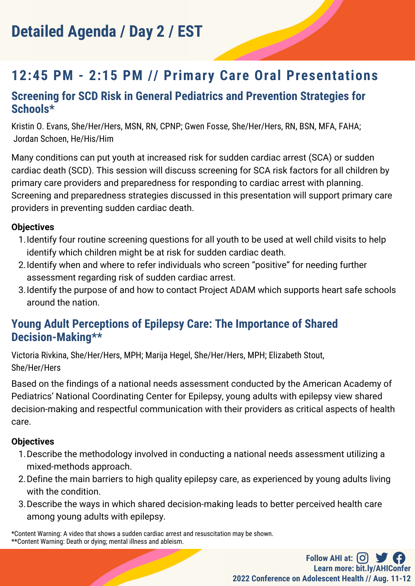# **12:45 PM - 2:15 PM // Primary Care Oral Presentations**

### **Screening for SCD Risk in General Pediatrics and Prevention Strategies for Schools\***

Kristin O. Evans, She/Her/Hers, MSN, RN, CPNP; Gwen Fosse, She/Her/Hers, RN, BSN, MFA, FAHA; Jordan Schoen, He/His/Him

Many conditions can put youth at increased risk for sudden cardiac arrest (SCA) or sudden cardiac death (SCD). This session will discuss screening for SCA risk factors for all children by primary care providers and preparedness for responding to cardiac arrest with planning. Screening and preparedness strategies discussed in this presentation will support primary care providers in preventing sudden cardiac death.

#### **Objectives**

- 1. Identify four routine screening questions for all youth to be used at well child visits to help identify which children might be at risk for sudden cardiac death.
- 2. Identify when and where to refer individuals who screen "positive" for needing further assessment regarding risk of sudden cardiac arrest.
- 3. Identify the purpose of and how to contact Project ADAM which supports heart safe schools around the nation.

### **Young Adult Perceptions of Epilepsy Care: The Importance of Shared Decision-Making\*\***

Victoria Rivkina, She/Her/Hers, MPH; Marija Hegel, She/Her/Hers, MPH; Elizabeth Stout, She/Her/Hers

Based on the findings of a national needs assessment conducted by the American Academy of Pediatrics' National Coordinating Center for Epilepsy, young adults with epilepsy view shared decision-making and respectful communication with their providers as critical aspects of health care.

#### **Objectives**

- 1. Describe the methodology involved in conducting a national needs assessment utilizing a mixed-methods approach.
- Define the main barriers to high quality epilepsy care, as experienced by young adults living 2. with the condition.
- 3. Describe the ways in which shared decision-making leads to better perceived health care among young adults with epilepsy.

\*Content Warning: A video that shows a sudden cardiac arrest and resuscitation may be shown. \*\*Content Warning: Death or dying; mental illness and ableism.

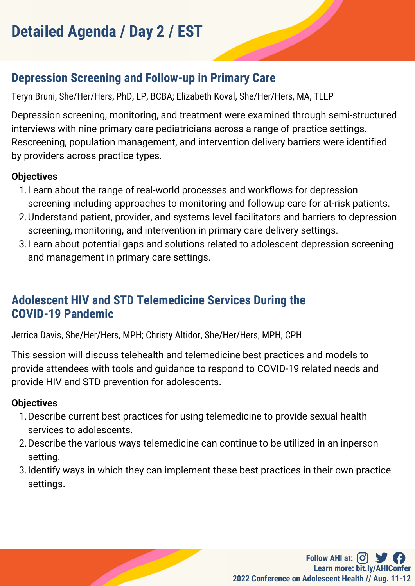# **Depression Screening and Follow-up in Primary Care**

Teryn Bruni, She/Her/Hers, PhD, LP, BCBA; Elizabeth Koval, She/Her/Hers, MA, TLLP

Depression screening, monitoring, and treatment were examined through semi-structured interviews with nine primary care pediatricians across a range of practice settings. Rescreening, population management, and intervention delivery barriers were identified by providers across practice types.

### **Objectives**

- Learn about the range of real-world processes and workflows for depression 1. screening including approaches to monitoring and followup care for at-risk patients.
- 2. Understand patient, provider, and systems level facilitators and barriers to depression screening, monitoring, and intervention in primary care delivery settings.
- 3. Learn about potential gaps and solutions related to adolescent depression screening and management in primary care settings.

## **Adolescent HIV and STD Telemedicine Services During the COVID-19 Pandemic**

Jerrica Davis, She/Her/Hers, MPH; Christy Altidor, She/Her/Hers, MPH, CPH

This session will discuss telehealth and telemedicine best practices and models to provide attendees with tools and guidance to respond to COVID-19 related needs and provide HIV and STD prevention for adolescents.

### **Objectives**

- 1. Describe current best practices for using telemedicine to provide sexual health services to adolescents.
- 2. Describe the various ways telemedicine can continue to be utilized in an inperson setting.
- 3. Identify ways in which they can implement these best practices in their own practice settings.

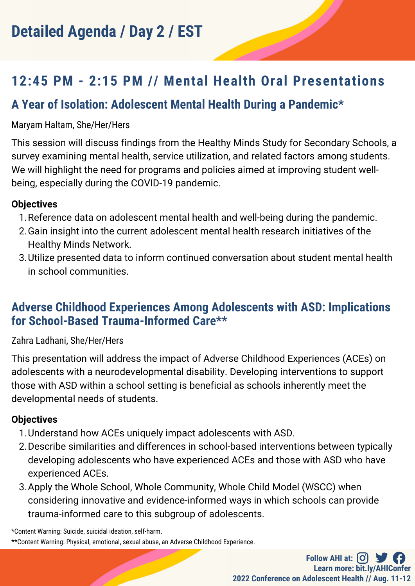# **12:45 PM - 2:15 PM // Mental Health Oral Presentations**

# **A Year of Isolation: Adolescent Mental Health During a Pandemic\***

#### Maryam Haltam, She/Her/Hers

This session will discuss findings from the Healthy Minds Study for Secondary Schools, a survey examining mental health, service utilization, and related factors among students. We will highlight the need for programs and policies aimed at improving student wellbeing, especially during the COVID-19 pandemic.

#### **Objectives**

- 1. Reference data on adolescent mental health and well-being during the pandemic.
- 2. Gain insight into the current adolescent mental health research initiatives of the Healthy Minds Network.
- Utilize presented data to inform continued conversation about student mental health 3. in school communities.

### **Adverse Childhood Experiences Among Adolescents with ASD: Implications for School-Based Trauma-Informed Care\*\***

#### Zahra Ladhani, She/Her/Hers

This presentation will address the impact of Adverse Childhood Experiences (ACEs) on adolescents with a neurodevelopmental disability. Developing interventions to support those with ASD within a school setting is beneficial as schools inherently meet the developmental needs of students.

#### **Objectives**

- Understand how ACEs uniquely impact adolescents with ASD. 1.
- 2. Describe similarities and differences in school-based interventions between typically developing adolescents who have experienced ACEs and those with ASD who have experienced ACEs.
- 3. Apply the Whole School, Whole Community, Whole Child Model (WSCC) when considering innovative and evidence-informed ways in which schools can provide trauma-informed care to this subgroup of adolescents.

\*Content Warning: Suicide, suicidal ideation, self-harm.

<sup>\*\*</sup>Content Warning: Physical, emotional, sexual abuse, an Adverse Childhood Experience.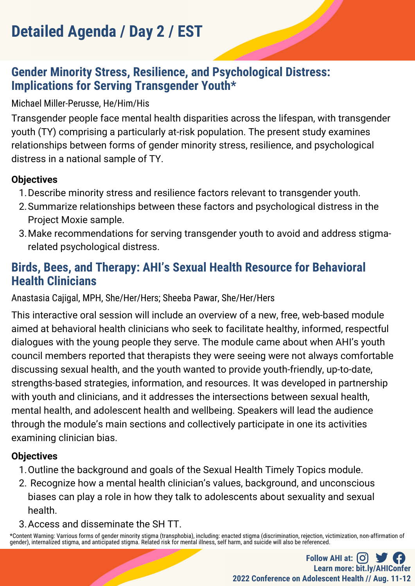## **Gender Minority Stress, Resilience, and Psychological Distress: Implications for Serving Transgender Youth\***

#### Michael Miller-Perusse, He/Him/His

Transgender people face mental health disparities across the lifespan, with transgender youth (TY) comprising a particularly at-risk population. The present study examines relationships between forms of gender minority stress, resilience, and psychological distress in a national sample of TY.

#### **Objectives**

- 1. Describe minority stress and resilience factors relevant to transgender youth.
- 2. Summarize relationships between these factors and psychological distress in the Project Moxie sample.
- Make recommendations for serving transgender youth to avoid and address stigma-3. related psychological distress.

## **Birds, Bees, and Therapy: AHI's Sexual Health Resource for Behavioral Health Clinicians**

Anastasia Cajigal, MPH, She/Her/Hers; Sheeba Pawar, She/Her/Hers

This interactive oral session will include an overview of a new, free, web-based module aimed at behavioral health clinicians who seek to facilitate healthy, informed, respectful dialogues with the young people they serve. The module came about when AHI's youth council members reported that therapists they were seeing were not always comfortable discussing sexual health, and the youth wanted to provide youth-friendly, up-to-date, strengths-based strategies, information, and resources. It was developed in partnership with youth and clinicians, and it addresses the intersections between sexual health, mental health, and adolescent health and wellbeing. Speakers will lead the audience through the module's main sections and collectively participate in one its activities examining clinician bias.

#### **Objectives**

- 1. Outline the background and goals of the Sexual Health Timely Topics module.
- 2. Recognize how a mental health clinician's values, background, and unconscious biases can play a role in how they talk to adolescents about sexuality and sexual health.
- Access and disseminate the SH TT. 3.

\*Content Warning: Varrious forms of gender minority stigma (transphobia), including: enacted stigma (discrimination, rejection, victimization, non-affirmation of gender), internalized stigma, and anticipated stigma. Related risk for mental illness, self harm, and suicide will also be referenced.

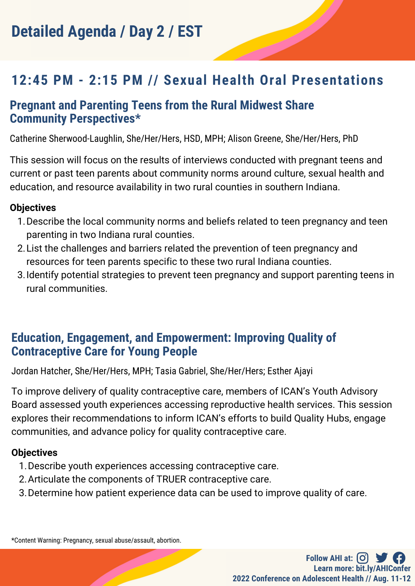# **12:45 PM - 2:15 PM // Sexual Health Oral Presentations**

### **Pregnant and Parenting Teens from the Rural Midwest Share Community Perspectives\***

Catherine Sherwood-Laughlin, She/Her/Hers, HSD, MPH; Alison Greene, She/Her/Hers, PhD

This session will focus on the results of interviews conducted with pregnant teens and current or past teen parents about community norms around culture, sexual health and education, and resource availability in two rural counties in southern Indiana.

#### **Objectives**

- 1. Describe the local community norms and beliefs related to teen pregnancy and teen parenting in two Indiana rural counties.
- List the challenges and barriers related the prevention of teen pregnancy and 2. resources for teen parents specific to these two rural Indiana counties.
- 3. Identify potential strategies to prevent teen pregnancy and support parenting teens in rural communities.

## **Education, Engagement, and Empowerment: Improving Quality of Contraceptive Care for Young People**

Jordan Hatcher, She/Her/Hers, MPH; Tasia Gabriel, She/Her/Hers; Esther Ajayi

To improve delivery of quality contraceptive care, members of ICAN's Youth Advisory Board assessed youth experiences accessing reproductive health services. This session explores their recommendations to inform ICAN's efforts to build Quality Hubs, engage communities, and advance policy for quality contraceptive care.

#### **Objectives**

- 1. Describe youth experiences accessing contraceptive care.
- 2. Articulate the components of TRUER contraceptive care.
- 3. Determine how patient experience data can be used to improve quality of care.

\*Content Warning: Pregnancy, sexual abuse/assault, abortion.

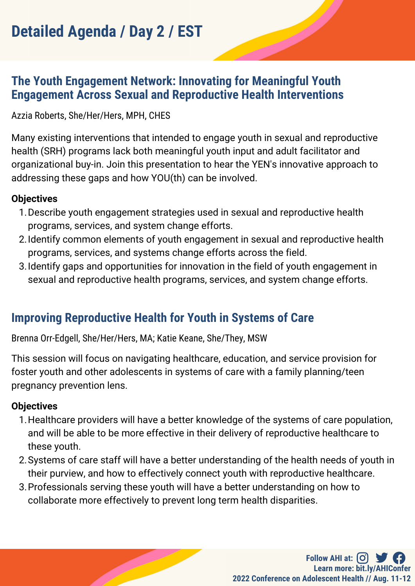### **The Youth Engagement Network: Innovating for Meaningful Youth Engagement Across Sexual and Reproductive Health Interventions**

Azzia Roberts, She/Her/Hers, MPH, CHES

Many existing interventions that intended to engage youth in sexual and reproductive health (SRH) programs lack both meaningful youth input and adult facilitator and organizational buy-in. Join this presentation to hear the YEN's innovative approach to addressing these gaps and how YOU(th) can be involved.

#### **Objectives**

- 1. Describe youth engagement strategies used in sexual and reproductive health programs, services, and system change efforts.
- 2. Identify common elements of youth engagement in sexual and reproductive health programs, services, and systems change efforts across the field.
- 3. Identify gaps and opportunities for innovation in the field of youth engagement in sexual and reproductive health programs, services, and system change efforts.

# **Improving Reproductive Health for Youth in Systems of Care**

Brenna Orr-Edgell, She/Her/Hers, MA; Katie Keane, She/They, MSW

This session will focus on navigating healthcare, education, and service provision for foster youth and other adolescents in systems of care with a family planning/teen pregnancy prevention lens.

#### **Objectives**

- 1. Healthcare providers will have a better knowledge of the systems of care population, and will be able to be more effective in their delivery of reproductive healthcare to these youth.
- 2. Systems of care staff will have a better understanding of the health needs of youth in their purview, and how to effectively connect youth with reproductive healthcare.
- 3. Professionals serving these youth will have a better understanding on how to collaborate more effectively to prevent long term health disparities.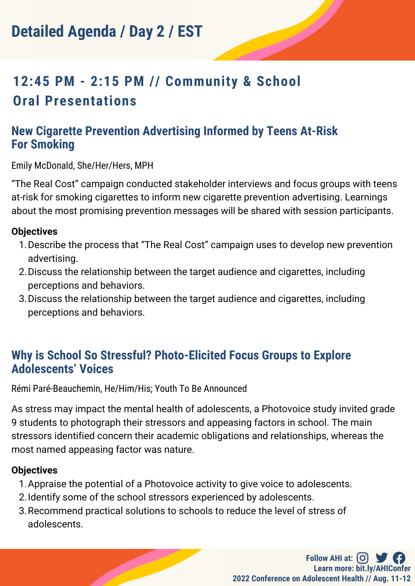# **12:45 PM - 2:15 PM // Community & School Oral Presentations**

### **New Cigarette Prevention Advertising Informed by Teens At-Risk For Smoking**

Emily McDonald, She/Her/Hers, MPH

"The Real Cost" campaign conducted stakeholder interviews and focus groups with teens at-risk for smoking cigarettes to inform new cigarette prevention advertising. Learnings about the most promising prevention messages will be shared with session participants.

#### **Objectives**

- 1. Describe the process that "The Real Cost" campaign uses to develop new prevention advertising.
- 2. Discuss the relationship between the target audience and cigarettes, including perceptions and behaviors.
- 3. Discuss the relationship between the target audience and cigarettes, including perceptions and behaviors.

### **Why is School So Stressful? Photo-Elicited Focus Groups to Explore Adolescents' Voices**

Rémi Paré-Beauchemin, He/Him/His; Youth To Be Announced

As stress may impact the mental health of adolescents, a Photovoice study invited grade 9 students to photograph their stressors and appeasing factors in school. The main stressors identified concern their academic obligations and relationships, whereas the most named appeasing factor was nature.

#### **Objectives**

- 1. Appraise the potential of a Photovoice activity to give voice to adolescents.
- 2. Identify some of the school stressors experienced by adolescents.
- 3. Recommend practical solutions to schools to reduce the level of stress of adolescents.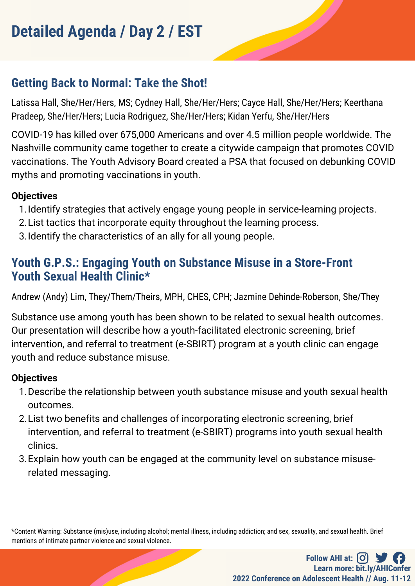# **Getting Back to Normal: Take the Shot!**

Latissa Hall, She/Her/Hers, MS; Cydney Hall, She/Her/Hers; Cayce Hall, She/Her/Hers; Keerthana Pradeep, She/Her/Hers; Lucia Rodriguez, She/Her/Hers; Kidan Yerfu, She/Her/Hers

COVID-19 has killed over 675,000 Americans and over 4.5 million people worldwide. The Nashville community came together to create a citywide campaign that promotes COVID vaccinations. The Youth Advisory Board created a PSA that focused on debunking COVID myths and promoting vaccinations in youth.

#### **Objectives**

- 1. Identify strategies that actively engage young people in service-learning projects.
- List tactics that incorporate equity throughout the learning process. 2.
- 3. Identify the characteristics of an ally for all young people.

## **Youth G.P.S.: Engaging Youth on Substance Misuse in a Store-Front Youth Sexual Health Clinic\***

Andrew (Andy) Lim, They/Them/Theirs, MPH, CHES, CPH; Jazmine Dehinde-Roberson, She/They

Substance use among youth has been shown to be related to sexual health outcomes. Our presentation will describe how a youth-facilitated electronic screening, brief intervention, and referral to treatment (e-SBIRT) program at a youth clinic can engage youth and reduce substance misuse.

#### **Objectives**

- 1. Describe the relationship between youth substance misuse and youth sexual health outcomes.
- 2. List two benefits and challenges of incorporating electronic screening, brief intervention, and referral to treatment (e-SBIRT) programs into youth sexual health clinics.
- 3. Explain how youth can be engaged at the community level on substance misuserelated messaging.

\*Content Warning: Substance (mis)use, including alcohol; mental illness, including addiction; and sex, sexuality, and sexual health. Brief mentions of intimate partner violence and sexual violence.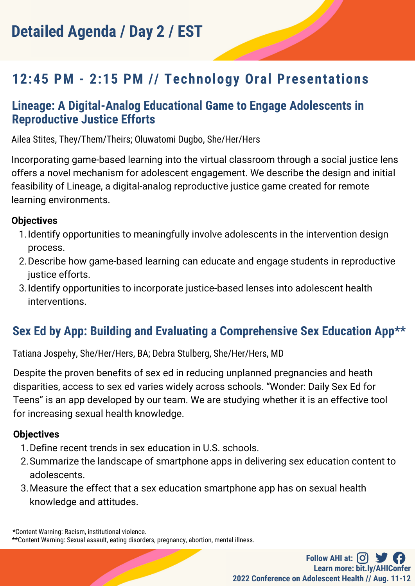# **12:45 PM - 2:15 PM // Technology Oral Presentations**

### **Lineage: A Digital-Analog Educational Game to Engage Adolescents in Reproductive Justice Efforts**

Ailea Stites, They/Them/Theirs; Oluwatomi Dugbo, She/Her/Hers

Incorporating game-based learning into the virtual classroom through a social justice lens offers a novel mechanism for adolescent engagement. We describe the design and initial feasibility of Lineage, a digital-analog reproductive justice game created for remote learning environments.

#### **Objectives**

- 1. Identify opportunities to meaningfully involve adolescents in the intervention design process.
- 2. Describe how game-based learning can educate and engage students in reproductive justice efforts.
- 3. Identify opportunities to incorporate justice-based lenses into adolescent health interventions.

# **Sex Ed by App: Building and Evaluating a Comprehensive Sex Education App\*\***

Tatiana Jospehy, She/Her/Hers, BA; Debra Stulberg, She/Her/Hers, MD

Despite the proven benefits of sex ed in reducing unplanned pregnancies and heath disparities, access to sex ed varies widely across schools. "Wonder: Daily Sex Ed for Teens" is an app developed by our team. We are studying whether it is an effective tool for increasing sexual health knowledge.

#### **Objectives**

- 1. Define recent trends in sex education in U.S. schools.
- 2. Summarize the landscape of smartphone apps in delivering sex education content to adolescents.
- Measure the effect that a sex education smartphone app has on sexual health 3. knowledge and attitudes.

\*Content Warning: Racism, institutional violence.

<sup>\*\*</sup>Content Warning: Sexual assault, eating disorders, pregnancy, abortion, mental illness.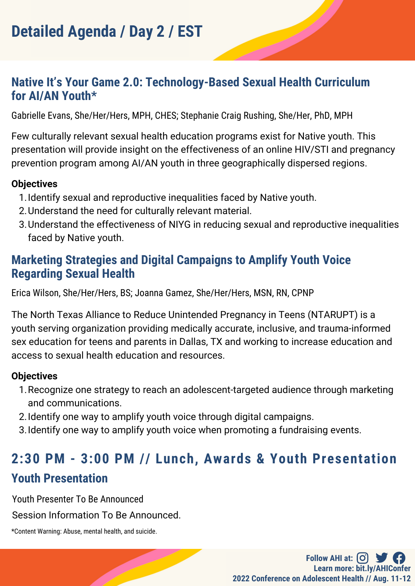### **Native It's Your Game 2.0: Technology-Based Sexual Health Curriculum for AI/AN Youth\***

Gabrielle Evans, She/Her/Hers, MPH, CHES; Stephanie Craig Rushing, She/Her, PhD, MPH

Few culturally relevant sexual health education programs exist for Native youth. This presentation will provide insight on the effectiveness of an online HIV/STI and pregnancy prevention program among AI/AN youth in three geographically dispersed regions.

#### **Objectives**

- 1. Identify sexual and reproductive inequalities faced by Native youth.
- 2. Understand the need for culturally relevant material.
- 3. Understand the effectiveness of NIYG in reducing sexual and reproductive inequalities faced by Native youth.

## **Marketing Strategies and Digital Campaigns to Amplify Youth Voice Regarding Sexual Health**

Erica Wilson, She/Her/Hers, BS; Joanna Gamez, She/Her/Hers, MSN, RN, CPNP

The North Texas Alliance to Reduce Unintended Pregnancy in Teens (NTARUPT) is a youth serving organization providing medically accurate, inclusive, and trauma-informed sex education for teens and parents in Dallas, TX and working to increase education and access to sexual health education and resources.

#### **Objectives**

- 1. Recognize one strategy to reach an adolescent-targeted audience through marketing and communications.
- 2. Identify one way to amplify youth voice through digital campaigns.
- 3. Identify one way to amplify youth voice when promoting a fundraising events.

# **2:30 PM - 3:00 PM // Lunch, Awards & Youth Presentation Youth Presentation**

Youth Presenter To Be Announced

Session Information To Be Announced.

\*Content Warning: Abuse, mental health, and suicide.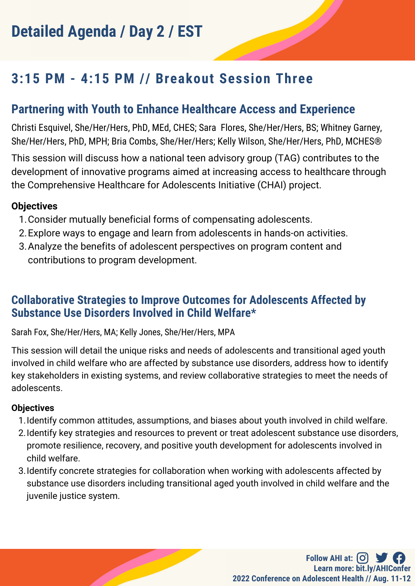# **3:15 PM - 4:15 PM // Breakout Session Three**

## **Partnering with Youth to Enhance Healthcare Access and Experience**

Christi Esquivel, She/Her/Hers, PhD, MEd, CHES; Sara Flores, She/Her/Hers, BS; Whitney Garney, She/Her/Hers, PhD, MPH; Bria Combs, She/Her/Hers; Kelly Wilson, She/Her/Hers, PhD, MCHES®

This session will discuss how a national teen advisory group (TAG) contributes to the development of innovative programs aimed at increasing access to healthcare through the Comprehensive Healthcare for Adolescents Initiative (CHAI) project.

#### **Objectives**

- Consider mutually beneficial forms of compensating adolescents. 1.
- Explore ways to engage and learn from adolescents in hands-on activities. 2.
- Analyze the benefits of adolescent perspectives on program content and 3. contributions to program development.

### **Collaborative Strategies to Improve Outcomes for Adolescents Affected by Substance Use Disorders Involved in Child Welfare\***

Sarah Fox, She/Her/Hers, MA; Kelly Jones, She/Her/Hers, MPA

This session will detail the unique risks and needs of adolescents and transitional aged youth involved in child welfare who are affected by substance use disorders, address how to identify key stakeholders in existing systems, and review collaborative strategies to meet the needs of adolescents.

#### **Objectives**

- 1. Identify common attitudes, assumptions, and biases about youth involved in child welfare.
- 2. Identify key strategies and resources to prevent or treat adolescent substance use disorders, promote resilience, recovery, and positive youth development for adolescents involved in child welfare.
- 3. Identify concrete strategies for collaboration when working with adolescents affected by substance use disorders including transitional aged youth involved in child welfare and the juvenile justice system.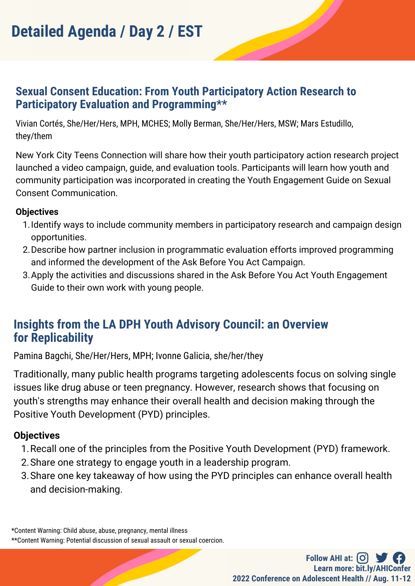### **Sexual Consent Education: From Youth Participatory Action Research to Participatory Evaluation and Programming\*\***

Vivian Cortés, She/Her/Hers, MPH, MCHES; Molly Berman, She/Her/Hers, MSW; Mars Estudillo, they/them

New York City Teens Connection will share how their youth participatory action research project launched a video campaign, guide, and evaluation tools. Participants will learn how youth and community participation was incorporated in creating the Youth Engagement Guide on Sexual Consent Communication.

#### **Objectives**

- 1. Identify ways to include community members in participatory research and campaign design opportunities.
- 2. Describe how partner inclusion in programmatic evaluation efforts improved programming and informed the development of the Ask Before You Act Campaign.
- 3. Apply the activities and discussions shared in the Ask Before You Act Youth Engagement Guide to their own work with young people.

## **Insights from the LA DPH Youth Advisory Council: an Overview for Replicability**

Pamina Bagchi, She/Her/Hers, MPH; Ivonne Galicia, she/her/they

Traditionally, many public health programs targeting adolescents focus on solving single issues like drug abuse or teen pregnancy. However, research shows that focusing on youth's strengths may enhance their overall health and decision making through the Positive Youth Development (PYD) principles.

#### **Objectives**

- 1. Recall one of the principles from the Positive Youth Development (PYD) framework.
- 2. Share one strategy to engage youth in a leadership program.
- Share one key takeaway of how using the PYD principles can enhance overall health 3.and decision-making.

\*Content Warning: Child abuse, abuse, pregnancy, mental illness \*\*Content Warning: Potential discussion of sexual assault or sexual coercion.

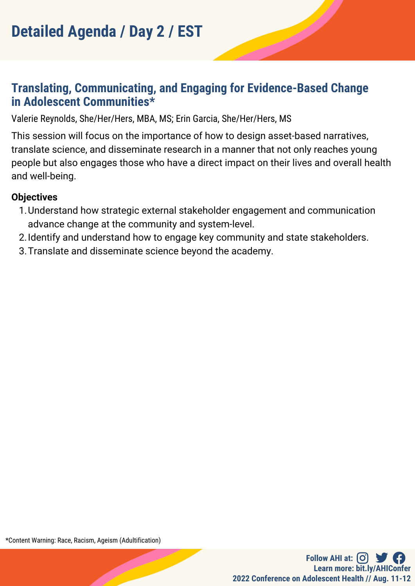## **Translating, Communicating, and Engaging for Evidence-Based Change in Adolescent Communities\***

Valerie Reynolds, She/Her/Hers, MBA, MS; Erin Garcia, She/Her/Hers, MS

This session will focus on the importance of how to design asset-based narratives, translate science, and disseminate research in a manner that not only reaches young people but also engages those who have a direct impact on their lives and overall health and well-being.

#### **Objectives**

- Understand how strategic external stakeholder engagement and communication 1. advance change at the community and system-level.
- 2. Identify and understand how to engage key community and state stakeholders.
- 3. Translate and disseminate science beyond the academy.

\*Content Warning: Race, Racism, Ageism (Adultification)

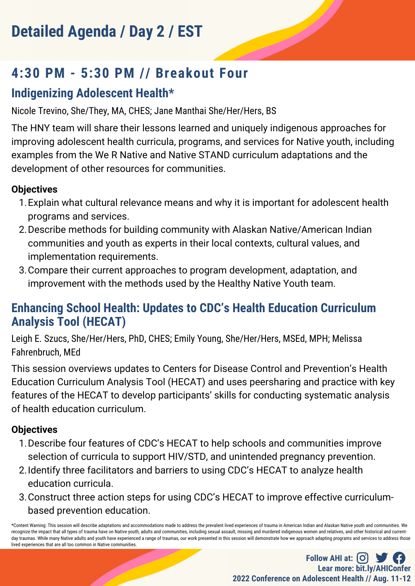# **4:30 PM - 5:30 PM // Breakout Four**

# **Indigenizing Adolescent Health\***

Nicole Trevino, She/They, MA, CHES; Jane Manthai She/Her/Hers, BS

The HNY team will share their lessons learned and uniquely indigenous approaches for improving adolescent health curricula, programs, and services for Native youth, including examples from the We R Native and Native STAND curriculum adaptations and the development of other resources for communities.

### **Objectives**

- 1. Explain what cultural relevance means and why it is important for adolescent health programs and services.
- 2. Describe methods for building community with Alaskan Native/American Indian communities and youth as experts in their local contexts, cultural values, and implementation requirements.
- Compare their current approaches to program development, adaptation, and 3. improvement with the methods used by the Healthy Native Youth team.

# **Enhancing School Health: Updates to CDC's Health Education Curriculum Analysis Tool (HECAT)**

Leigh E. Szucs, She/Her/Hers, PhD, CHES; Emily Young, She/Her/Hers, MSEd, MPH; Melissa Fahrenbruch, MEd

This session overviews updates to Centers for Disease Control and Prevention's Health Education Curriculum Analysis Tool (HECAT) and uses peersharing and practice with key features of the HECAT to develop participants' skills for conducting systematic analysis of health education curriculum.

### **Objectives**

- 1. Describe four features of CDC's HECAT to help schools and communities improve selection of curricula to support HIV/STD, and unintended pregnancy prevention.
- 2. Identify three facilitators and barriers to using CDC's HECAT to analyze health education curricula.
- 3. Construct three action steps for using CDC's HECAT to improve effective curriculumbased prevention education.

\*Content Warning: This session will describe adaptations and accommodations made to address the prevalent lived experiences of trauma in American Indian and Alaskan Native youth and communities. We recognize the impact that all types of trauma have on Native youth, adults and communities, including sexual assault, missing and murdered indigenous women and relatives, and other historical and currentday traumas. While many Native adults and youth have experienced a range of traumas, our work presented in this session will demonstrate how we approach adapting programs and services to address those lived experiences that are all too common in Native communities.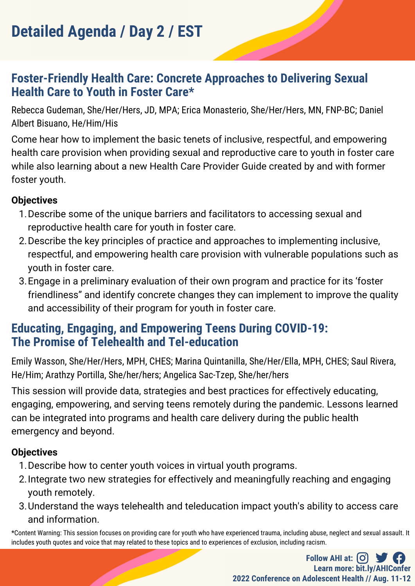### **Foster-Friendly Health Care: Concrete Approaches to Delivering Sexual Health Care to Youth in Foster Care\***

Rebecca Gudeman, She/Her/Hers, JD, MPA; Erica Monasterio, She/Her/Hers, MN, FNP-BC; Daniel Albert Bisuano, He/Him/His

Come hear how to implement the basic tenets of inclusive, respectful, and empowering health care provision when providing sexual and reproductive care to youth in foster care while also learning about a new Health Care Provider Guide created by and with former foster youth.

#### **Objectives**

- 1. Describe some of the unique barriers and facilitators to accessing sexual and reproductive health care for youth in foster care.
- 2. Describe the key principles of practice and approaches to implementing inclusive, respectful, and empowering health care provision with vulnerable populations such as youth in foster care.
- 3. Engage in a preliminary evaluation of their own program and practice for its 'foster friendliness" and identify concrete changes they can implement to improve the quality and accessibility of their program for youth in foster care.

### **Educating, Engaging, and Empowering Teens During COVID-19: The Promise of Telehealth and Tel-education**

Emily Wasson, She/Her/Hers, MPH, CHES; Marina Quintanilla, She/Her/Ella, MPH, CHES; Saul Rivera, He/Him; Arathzy Portilla, She/her/hers; Angelica Sac-Tzep, She/her/hers

This session will provide data, strategies and best practices for effectively educating, engaging, empowering, and serving teens remotely during the pandemic. Lessons learned can be integrated into programs and health care delivery during the public health emergency and beyond.

#### **Objectives**

- 1. Describe how to center youth voices in virtual youth programs.
- 2. Integrate two new strategies for effectively and meaningfully reaching and engaging youth remotely.
- Understand the ways telehealth and teleducation impact youth's ability to access care 3.and information.

\*Content Warning: This session focuses on providing care for youth who have experienced trauma, including abuse, neglect and sexual assault. It includes youth quotes and voice that may related to these topics and to experiences of exclusion, including racism.

> **Follow AHI at:**  $\begin{bmatrix} 0 \end{bmatrix}$   $\begin{bmatrix} 0 \\ 0 \end{bmatrix}$ **2022 Conference on Adolescent Health // Aug. 11-12 Learn more: bit.ly/AHIConfer**